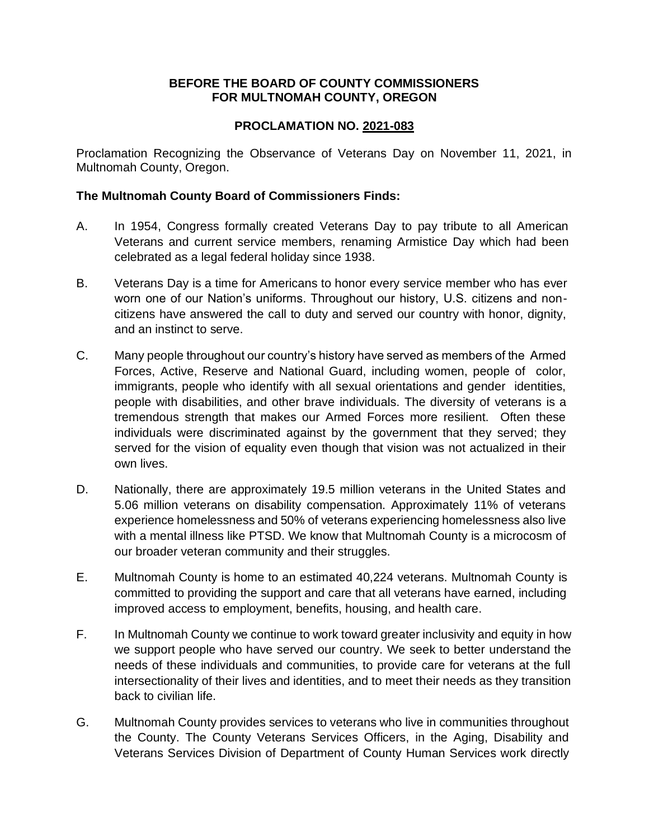#### **BEFORE THE BOARD OF COUNTY COMMISSIONERS FOR MULTNOMAH COUNTY, OREGON**

### **PROCLAMATION NO. 2021-083**

Proclamation Recognizing the Observance of Veterans Day on November 11, 2021, in Multnomah County, Oregon.

#### **The Multnomah County Board of Commissioners Finds:**

- A. In 1954, Congress formally created Veterans Day to pay tribute to all American Veterans and current service members, renaming Armistice Day which had been celebrated as a legal federal holiday since 1938.
- B. Veterans Day is a time for Americans to honor every service member who has ever worn one of our Nation's uniforms. Throughout our history, U.S. citizens and noncitizens have answered the call to duty and served our country with honor, dignity, and an instinct to serve.
- C. Many people throughout our country's history have served as members of the Armed Forces, Active, Reserve and National Guard, including women, people of color, immigrants, people who identify with all sexual orientations and gender identities, people with disabilities, and other brave individuals. The diversity of veterans is a tremendous strength that makes our Armed Forces more resilient. Often these individuals were discriminated against by the government that they served; they served for the vision of equality even though that vision was not actualized in their own lives.
- D. Nationally, there are approximately 19.5 million veterans in the United States and 5.06 million veterans on disability compensation. Approximately 11% of veterans experience homelessness and 50% of veterans experiencing homelessness also live with a mental illness like PTSD. We know that Multnomah County is a microcosm of our broader veteran community and their struggles.
- E. Multnomah County is home to an estimated 40,224 veterans. Multnomah County is committed to providing the support and care that all veterans have earned, including improved access to employment, benefits, housing, and health care.
- F. In Multnomah County we continue to work toward greater inclusivity and equity in how we support people who have served our country. We seek to better understand the needs of these individuals and communities, to provide care for veterans at the full intersectionality of their lives and identities, and to meet their needs as they transition back to civilian life.
- G. Multnomah County provides services to veterans who live in communities throughout the County. The County Veterans Services Officers, in the Aging, Disability and Veterans Services Division of Department of County Human Services work directly